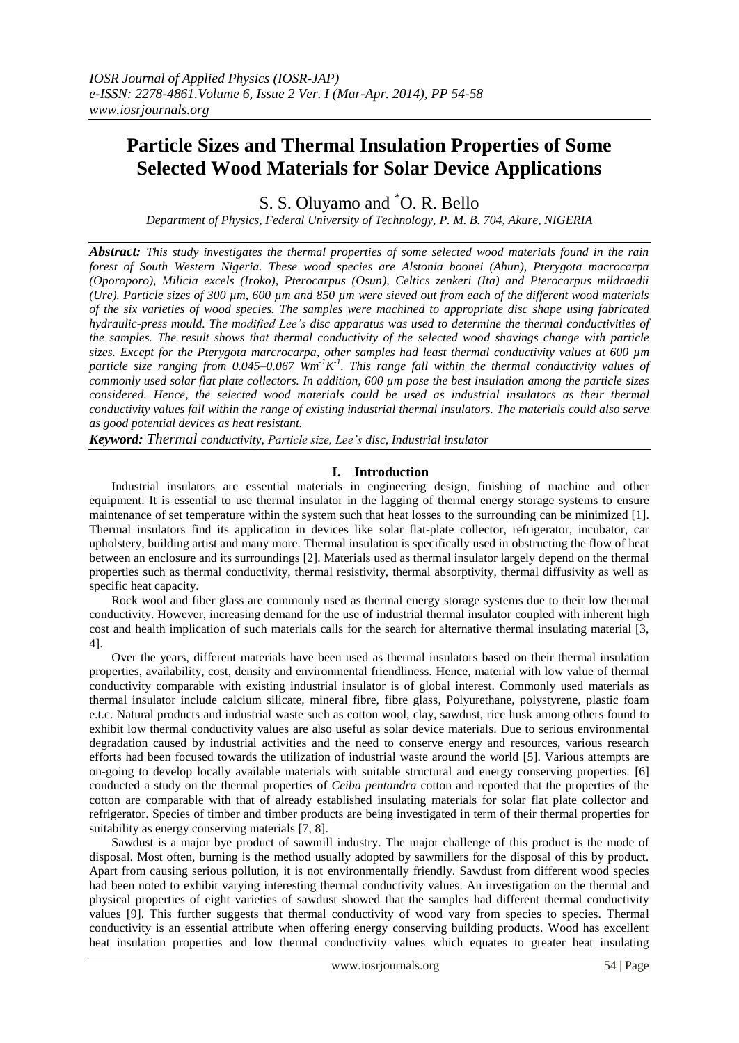# **Particle Sizes and Thermal Insulation Properties of Some Selected Wood Materials for Solar Device Applications**

S. S. Oluyamo and \*O. R. Bello

*Department of Physics, Federal University of Technology, P. M. B. 704, Akure, NIGERIA*

*Abstract: This study investigates the thermal properties of some selected wood materials found in the rain forest of South Western Nigeria. These wood species are Alstonia boonei (Ahun), Pterygota macrocarpa (Oporoporo), Milicia excels (Iroko), Pterocarpus (Osun), Celtics zenkeri (Ita) and Pterocarpus mildraedii (Ure). Particle sizes of 300 µm, 600 µm and 850 µm were sieved out from each of the different wood materials of the six varieties of wood species. The samples were machined to appropriate disc shape using fabricated hydraulic-press mould. The modified Lee's disc apparatus was used to determine the thermal conductivities of the samples. The result shows that thermal conductivity of the selected wood shavings change with particle sizes. Except for the Pterygota marcrocarpa, other samples had least thermal conductivity values at 600 µm* particle size ranging from 0.045–0.067  $Wm^{-1}K^1$ . This range fall within the thermal conductivity values of *commonly used solar flat plate collectors. In addition, 600 µm pose the best insulation among the particle sizes considered. Hence, the selected wood materials could be used as industrial insulators as their thermal conductivity values fall within the range of existing industrial thermal insulators. The materials could also serve as good potential devices as heat resistant.*

*Keyword: Thermal conductivity, Particle size, Lee's disc, Industrial insulator*

# **I. Introduction**

Industrial insulators are essential materials in engineering design, finishing of machine and other equipment. It is essential to use thermal insulator in the lagging of thermal energy storage systems to ensure maintenance of set temperature within the system such that heat losses to the surrounding can be minimized [1]. Thermal insulators find its application in devices like solar flat-plate collector, refrigerator, incubator, car upholstery, building artist and many more. Thermal insulation is specifically used in obstructing the flow of heat between an enclosure and its surroundings [2]. Materials used as thermal insulator largely depend on the thermal properties such as thermal conductivity, thermal resistivity, thermal absorptivity, thermal diffusivity as well as specific heat capacity.

Rock wool and fiber glass are commonly used as thermal energy storage systems due to their low thermal conductivity. However, increasing demand for the use of industrial thermal insulator coupled with inherent high cost and health implication of such materials calls for the search for alternative thermal insulating material [3, 4].

Over the years, different materials have been used as thermal insulators based on their thermal insulation properties, availability, cost, density and environmental friendliness. Hence, material with low value of thermal conductivity comparable with existing industrial insulator is of global interest. Commonly used materials as thermal insulator include calcium silicate, mineral fibre, fibre glass, Polyurethane, polystyrene, plastic foam e.t.c. Natural products and industrial waste such as cotton wool, clay, sawdust, rice husk among others found to exhibit low thermal conductivity values are also useful as solar device materials. Due to serious environmental degradation caused by industrial activities and the need to conserve energy and resources, various research efforts had been focused towards the utilization of industrial waste around the world [5]. Various attempts are on-going to develop locally available materials with suitable structural and energy conserving properties. [6] conducted a study on the thermal properties of *Ceiba pentandra* cotton and reported that the properties of the cotton are comparable with that of already established insulating materials for solar flat plate collector and refrigerator. Species of timber and timber products are being investigated in term of their thermal properties for suitability as energy conserving materials [7, 8].

Sawdust is a major bye product of sawmill industry. The major challenge of this product is the mode of disposal. Most often, burning is the method usually adopted by sawmillers for the disposal of this by product. Apart from causing serious pollution, it is not environmentally friendly. Sawdust from different wood species had been noted to exhibit varying interesting thermal conductivity values. An investigation on the thermal and physical properties of eight varieties of sawdust showed that the samples had different thermal conductivity values [9]. This further suggests that thermal conductivity of wood vary from species to species. Thermal conductivity is an essential attribute when offering energy conserving building products. Wood has excellent heat insulation properties and low thermal conductivity values which equates to greater heat insulating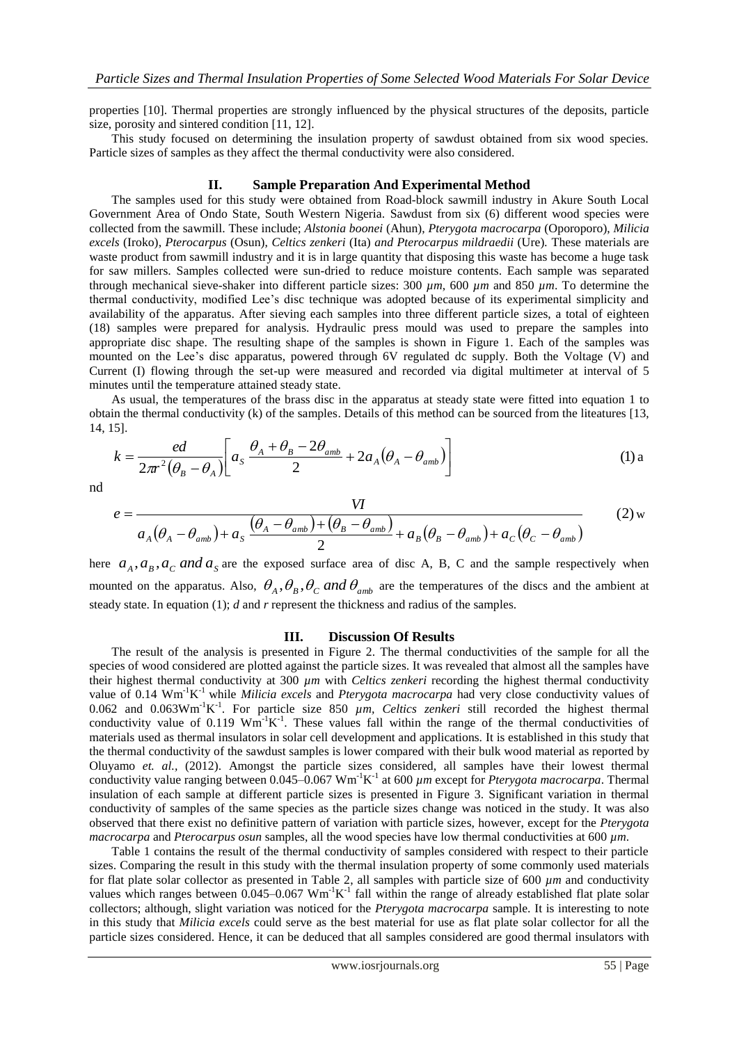properties [10]. Thermal properties are strongly influenced by the physical structures of the deposits, particle size, porosity and sintered condition [11, 12].

This study focused on determining the insulation property of sawdust obtained from six wood species. Particle sizes of samples as they affect the thermal conductivity were also considered.

## **II. Sample Preparation And Experimental Method**

The samples used for this study were obtained from Road-block sawmill industry in Akure South Local Government Area of Ondo State, South Western Nigeria. Sawdust from six (6) different wood species were collected from the sawmill. These include; *Alstonia boonei* (Ahun), *Pterygota macrocarpa* (Oporoporo), *Milicia excels* (Iroko), *Pterocarpus* (Osun), *Celtics zenkeri* (Ita) *and Pterocarpus mildraedii* (Ure)*.* These materials are waste product from sawmill industry and it is in large quantity that disposing this waste has become a huge task for saw millers. Samples collected were sun-dried to reduce moisture contents. Each sample was separated through mechanical sieve-shaker into different particle sizes: 300 *µm*, 600 *µm* and 850 *µm*. To determine the thermal conductivity, modified Lee's disc technique was adopted because of its experimental simplicity and availability of the apparatus. After sieving each samples into three different particle sizes, a total of eighteen (18) samples were prepared for analysis. Hydraulic press mould was used to prepare the samples into appropriate disc shape. The resulting shape of the samples is shown in Figure 1. Each of the samples was mounted on the Lee's disc apparatus, powered through 6V regulated dc supply. Both the Voltage (V) and Current (I) flowing through the set-up were measured and recorded via digital multimeter at interval of 5 minutes until the temperature attained steady state.

As usual, the temperatures of the brass disc in the apparatus at steady state were fitted into equation 1 to obtain the thermal conductivity (k) of the samples. Details of this method can be sourced from the liteatures [13, 14, 15].

$$
k = \frac{ed}{2\pi r^2 (\theta_B - \theta_A)} \bigg[ a_s \frac{\theta_A + \theta_B - 2\theta_{amb}}{2} + 2a_A (\theta_A - \theta_{amb}) \bigg]
$$
(1) a

nd

$$
e = \frac{VI}{a_A(\theta_A - \theta_{amb}) + a_S \frac{(\theta_A - \theta_{amb}) + (\theta_B - \theta_{amb})}{2} + a_B(\theta_B - \theta_{amb}) + a_C(\theta_C - \theta_{amb})}
$$
(2)

here  $a_A$ ,  $a_B$ ,  $a_C$  *and*  $a_S$  are the exposed surface area of disc A, B, C and the sample respectively when mounted on the apparatus. Also,  $\theta_A$ ,  $\theta_B$ ,  $\theta_C$  and  $\theta_{amb}$  are the temperatures of the discs and the ambient at steady state. In equation (1); *d* and *r* represent the thickness and radius of the samples.

#### **III. Discussion Of Results**

The result of the analysis is presented in Figure 2. The thermal conductivities of the sample for all the species of wood considered are plotted against the particle sizes. It was revealed that almost all the samples have their highest thermal conductivity at 300 *µm* with *Celtics zenkeri* recording the highest thermal conductivity value of 0.14 Wm<sup>-1</sup>K<sup>-1</sup> while *Milicia excels* and *Pterygota macrocarpa* had very close conductivity values of 0.062 and 0.063 $Wm^{-1}K^{-1}$ . For particle size 850  $\mu$ m, Celtics zenkeri still recorded the highest thermal conductivity value of  $0.119 \text{ Wm}^{-1}\text{K}^{-1}$ . These values fall within the range of the thermal conductivities of materials used as thermal insulators in solar cell development and applications. It is established in this study that the thermal conductivity of the sawdust samples is lower compared with their bulk wood material as reported by Oluyamo *et. al.,* (2012). Amongst the particle sizes considered, all samples have their lowest thermal conductivity value ranging between  $0.045 - 0.067$  Wm<sup>-1</sup>K<sup>-1</sup> at 600  $\mu$ m except for *Pterygota macrocarpa*. Thermal insulation of each sample at different particle sizes is presented in Figure 3. Significant variation in thermal conductivity of samples of the same species as the particle sizes change was noticed in the study. It was also observed that there exist no definitive pattern of variation with particle sizes, however, except for the *Pterygota macrocarpa* and *Pterocarpus osun* samples, all the wood species have low thermal conductivities at 600 *µm*.

Table 1 contains the result of the thermal conductivity of samples considered with respect to their particle sizes. Comparing the result in this study with the thermal insulation property of some commonly used materials for flat plate solar collector as presented in Table 2, all samples with particle size of 600 *µm* and conductivity values which ranges between  $0.045-0.067$  Wm<sup>-1</sup>K<sup>-1</sup> fall within the range of already established flat plate solar collectors; although, slight variation was noticed for the *Pterygota macrocarpa* sample. It is interesting to note in this study that *Milicia excels* could serve as the best material for use as flat plate solar collector for all the particle sizes considered. Hence, it can be deduced that all samples considered are good thermal insulators with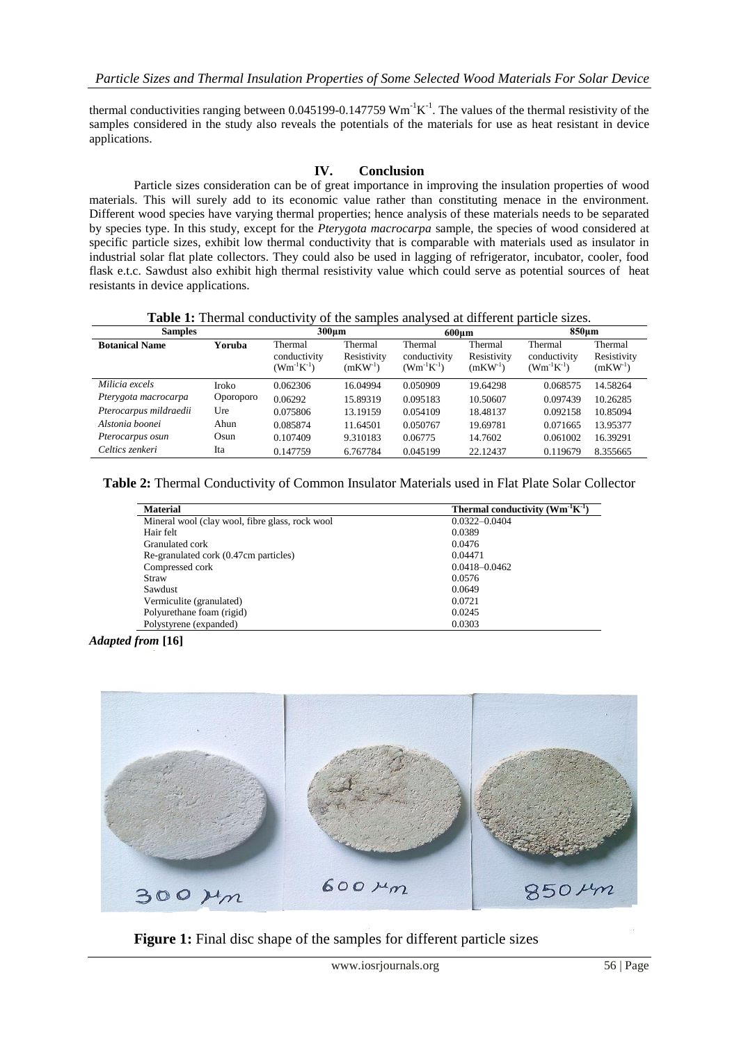thermal conductivities ranging between 0.045199-0.147759  $Wm^{-1}K^{-1}$ . The values of the thermal resistivity of the samples considered in the study also reveals the potentials of the materials for use as heat resistant in device applications.

## **IV. Conclusion**

Particle sizes consideration can be of great importance in improving the insulation properties of wood materials. This will surely add to its economic value rather than constituting menace in the environment. Different wood species have varying thermal properties; hence analysis of these materials needs to be separated by species type. In this study, except for the *Pterygota macrocarpa* sample, the species of wood considered at specific particle sizes, exhibit low thermal conductivity that is comparable with materials used as insulator in industrial solar flat plate collectors. They could also be used in lagging of refrigerator, incubator, cooler, food flask e.t.c. Sawdust also exhibit high thermal resistivity value which could serve as potential sources of heat resistants in device applications.

| <b>Table 1:</b> Thermal conductivity of the samples analysed at different particle sizes. |
|-------------------------------------------------------------------------------------------|
|-------------------------------------------------------------------------------------------|

| <b>Samples</b>         |           | $300 \mu m$                                  |                                     | 600um                                        |                                     | 850um                                        |                                        |
|------------------------|-----------|----------------------------------------------|-------------------------------------|----------------------------------------------|-------------------------------------|----------------------------------------------|----------------------------------------|
| <b>Botanical Name</b>  | Yoruba    | Thermal<br>conductivity<br>$(Wm^{-1}K^{-1})$ | Thermal<br>Resistivity<br>$(mKW-1)$ | Thermal<br>conductivity<br>$(Wm^{-1}K^{-1})$ | Thermal<br>Resistivity<br>$(mKW-1)$ | Thermal<br>conductivity<br>$(Wm^{-1}K^{-1})$ | Thermal<br>Resistivity<br>$(mKW^{-1})$ |
| Milicia excels         | Iroko     | 0.062306                                     | 16.04994                            | 0.050909                                     | 19.64298                            | 0.068575                                     | 14.58264                               |
| Pterygota macrocarpa   | Oporoporo | 0.06292                                      | 15.89319                            | 0.095183                                     | 10.50607                            | 0.097439                                     | 10.26285                               |
| Pterocarpus mildraedii | Ure       | 0.075806                                     | 13.19159                            | 0.054109                                     | 18.48137                            | 0.092158                                     | 10.85094                               |
| Alstonia boonei        | Ahun      | 0.085874                                     | 11.64501                            | 0.050767                                     | 19.69781                            | 0.071665                                     | 13.95377                               |
| Pterocarpus osun       | Osun      | 0.107409                                     | 9.310183                            | 0.06775                                      | 14.7602                             | 0.061002                                     | 16.39291                               |
| Celtics zenkeri        | Ita       | 0.147759                                     | 6.767784                            | 0.045199                                     | 22.12437                            | 0.119679                                     | 8.355665                               |

**Table 2:** Thermal Conductivity of Common Insulator Materials used in Flat Plate Solar Collector

| <b>Material</b>                                 | Thermal conductivity $(Wm^{-1}K^{-1})$ |  |  |  |
|-------------------------------------------------|----------------------------------------|--|--|--|
| Mineral wool (clay wool, fibre glass, rock wool | $0.0322 - 0.0404$                      |  |  |  |
| Hair felt                                       | 0.0389                                 |  |  |  |
| Granulated cork                                 | 0.0476                                 |  |  |  |
| Re-granulated cork (0.47cm particles)           | 0.04471                                |  |  |  |
| Compressed cork                                 | $0.0418 - 0.0462$                      |  |  |  |
| Straw                                           | 0.0576                                 |  |  |  |
| Sawdust                                         | 0.0649                                 |  |  |  |
| Vermiculite (granulated)                        | 0.0721                                 |  |  |  |
| Polyurethane foam (rigid)                       | 0.0245                                 |  |  |  |
| Polystyrene (expanded)                          | 0.0303                                 |  |  |  |

*Adapted from* **[16]**



**Figure 1:** Final disc shape of the samples for different particle sizes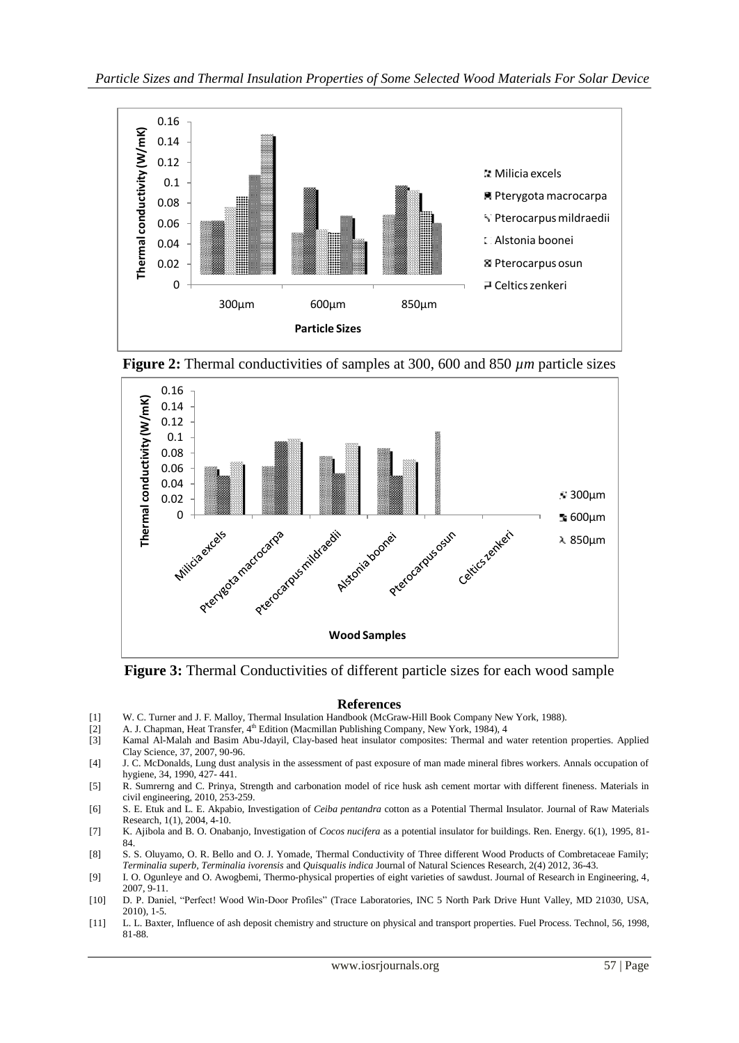

**Figure 2:** Thermal conductivities of samples at 300, 600 and 850 *µm* particle sizes



**Figure 3:** Thermal Conductivities of different particle sizes for each wood sample

## **References**

- [1] W. C. Turner and J. F. Malloy, Thermal Insulation Handbook (McGraw-Hill Book Company New York, 1988).
- [2] A. J. Chapman, Heat Transfer, 4<sup>th</sup> Edition (Macmillan Publishing Company, New York, 1984), 4<br>[3] Kamal Al-Malah and Basim Abu-Jdayil, Clay-based heat insulator composites: Thermal and v
- Kamal Al-Malah and Basim Abu-Jdayil, Clay-based heat insulator composites: Thermal and water retention properties. Applied Clay Science, 37, 2007, 90-96.
- [4] J. C. McDonalds, Lung dust analysis in the assessment of past exposure of man made mineral fibres workers. Annals occupation of hygiene, 34, 1990, 427- 441.
- [5] R. Sumrerng and C. Prinya, Strength and carbonation model of rice husk ash cement mortar with different fineness. Materials in civil engineering, 2010, 253-259.
- [6] S. E. Etuk and L. E. Akpabio, Investigation of *Ceiba pentandra* cotton as a Potential Thermal Insulator. Journal of Raw Materials Research, 1(1), 2004, 4-10.
- [7] K. Ajibola and B. O. Onabanjo, Investigation of *Cocos nucifera* as a potential insulator for buildings. Ren. Energy. 6(1), 1995, 81- 84.
- [8] S. S. Oluyamo, O. R. Bello and O. J. Yomade, Thermal Conductivity of Three different Wood Products of Combretaceae Family; *Terminalia superb*, *Terminalia ivorensis* and *Quisqualis indica* Journal of Natural Sciences Research, 2(4) 2012, 36-43.
- [9] I. O. Ogunleye and O. Awogbemi, Thermo-physical properties of eight varieties of sawdust. Journal of Research in Engineering, 4, 2007, 9-11.
- [10] D. P. Daniel, "Perfect! Wood Win-Door Profiles" (Trace Laboratories, INC 5 North Park Drive Hunt Valley, MD 21030, USA, 2010), 1-5.
- [11] L. L. Baxter, Influence of ash deposit chemistry and structure on physical and transport properties. Fuel Process. Technol, 56, 1998, 81-88.